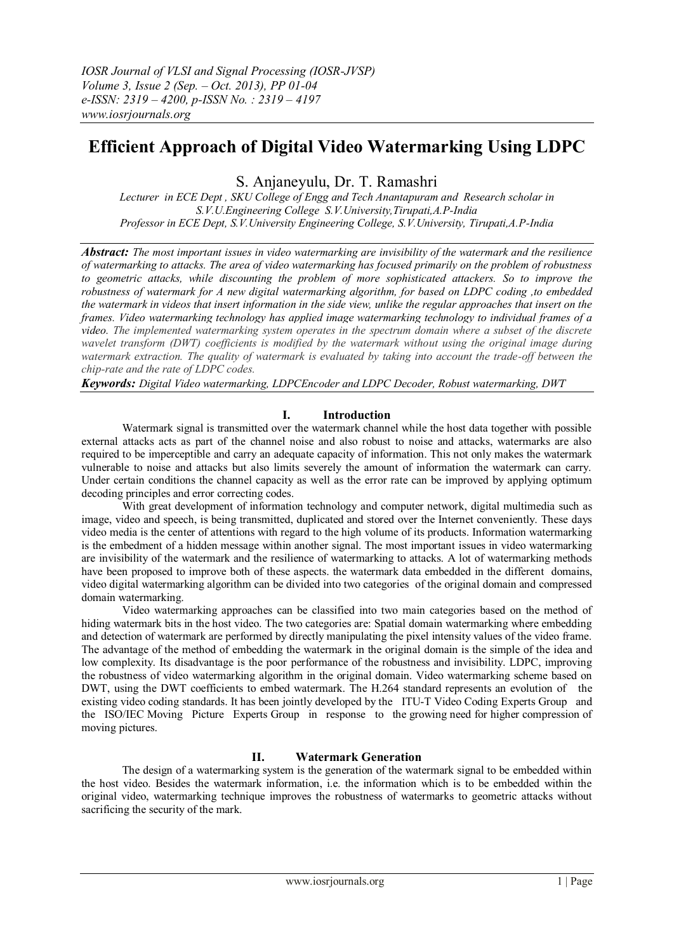# **Efficient Approach of Digital Video Watermarking Using LDPC**

S. Anjaneyulu, Dr. T. Ramashri

*Lecturer in ECE Dept , SKU College of Engg and Tech Anantapuram and Research scholar in S.V.U.Engineering College S.V.University,Tirupati,A.P-India Professor in ECE Dept, S.V.University Engineering College, S.V.University, Tirupati,A.P-India*

*Abstract: The most important issues in video watermarking are invisibility of the watermark and the resilience of watermarking to attacks. The area of video watermarking has focused primarily on the problem of robustness to geometric attacks, while discounting the problem of more sophisticated attackers. So to improve the robustness of watermark for A new digital watermarking algorithm, for based on LDPC coding ,to embedded the watermark in videos that insert information in the side view, unlike the regular approaches that insert on the frames. Video watermarking technology has applied image watermarking technology to individual frames of a video. The implemented watermarking system operates in the spectrum domain where a subset of the discrete wavelet transform (DWT) coefficients is modified by the watermark without using the original image during watermark extraction. The quality of watermark is evaluated by taking into account the trade-off between the chip-rate and the rate of LDPC codes.*

*Keywords: Digital Video watermarking, LDPCEncoder and LDPC Decoder, Robust watermarking, DWT*

## **I. Introduction**

Watermark signal is transmitted over the watermark channel while the host data together with possible external attacks acts as part of the channel noise and also robust to noise and attacks, watermarks are also required to be imperceptible and carry an adequate capacity of information. This not only makes the watermark vulnerable to noise and attacks but also limits severely the amount of information the watermark can carry. Under certain conditions the channel capacity as well as the error rate can be improved by applying optimum decoding principles and error correcting codes.

With great development of information technology and computer network, digital multimedia such as image, video and speech, is being transmitted, duplicated and stored over the Internet conveniently. These days video media is the center of attentions with regard to the high volume of its products. Information watermarking is the embedment of a hidden message within another signal. The most important issues in video watermarking are invisibility of the watermark and the resilience of watermarking to attacks. A lot of watermarking methods have been proposed to improve both of these aspects. the watermark data embedded in the different domains, video digital watermarking algorithm can be divided into two categories of the original domain and compressed domain watermarking.

Video watermarking approaches can be classified into two main categories based on the method of hiding watermark bits in the host video. The two categories are: Spatial domain watermarking where embedding and detection of watermark are performed by directly manipulating the pixel intensity values of the video frame. The advantage of the method of embedding the watermark in the original domain is the simple of the idea and low complexity. Its disadvantage is the poor performance of the robustness and invisibility. LDPC, improving the robustness of video watermarking algorithm in the original domain. Video watermarking scheme based on DWT, using the DWT coefficients to embed watermark. The H.264 standard represents an evolution of the existing video coding standards. It has been jointly developed by the ITU-T Video Coding Experts Group and the ISO/IEC Moving Picture Experts Group in response to the growing need for higher compression of moving pictures.

# **II. Watermark Generation**

The design of a watermarking system is the generation of the watermark signal to be embedded within the host video. Besides the watermark information, i.e. the information which is to be embedded within the original video, watermarking technique improves the robustness of watermarks to geometric attacks without sacrificing the security of the mark.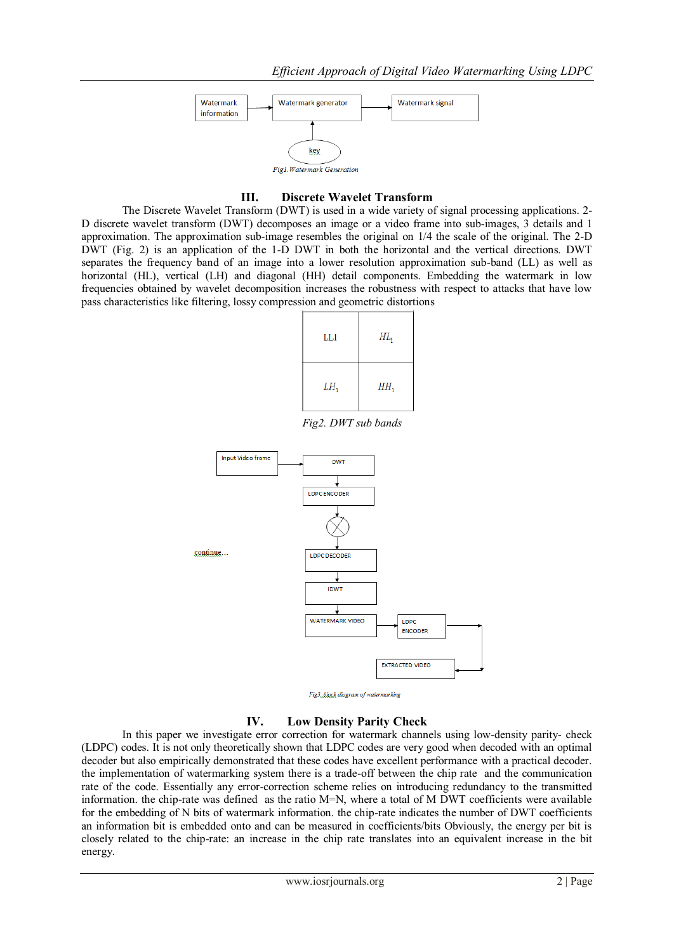

### **III. Discrete Wavelet Transform**

The Discrete Wavelet Transform (DWT) is used in a wide variety of signal processing applications. 2- D discrete wavelet transform (DWT) decomposes an image or a video frame into sub-images, 3 details and 1 approximation. The approximation sub-image resembles the original on 1/4 the scale of the original. The 2-D DWT (Fig. 2) is an application of the 1-D DWT in both the horizontal and the vertical directions. DWT separates the frequency band of an image into a lower resolution approximation sub-band (LL) as well as horizontal (HL), vertical (LH) and diagonal (HH) detail components. Embedding the watermark in low frequencies obtained by wavelet decomposition increases the robustness with respect to attacks that have low pass characteristics like filtering, lossy compression and geometric distortions

| LLI    | $H\!L_1$ |
|--------|----------|
| $LH_1$ | HН,      |

*Fig2. DWT sub bands*



Fig3.,block diagram of watermarking

### **IV. Low Density Parity Check**

In this paper we investigate error correction for watermark channels using low-density parity- check (LDPC) codes. It is not only theoretically shown that LDPC codes are very good when decoded with an optimal decoder but also empirically demonstrated that these codes have excellent performance with a practical decoder. the implementation of watermarking system there is a trade-off between the chip rate and the communication rate of the code. Essentially any error-correction scheme relies on introducing redundancy to the transmitted information. the chip-rate was defined as the ratio M=N, where a total of M DWT coefficients were available for the embedding of N bits of watermark information. the chip-rate indicates the number of DWT coefficients an information bit is embedded onto and can be measured in coefficients/bits Obviously, the energy per bit is closely related to the chip-rate: an increase in the chip rate translates into an equivalent increase in the bit energy.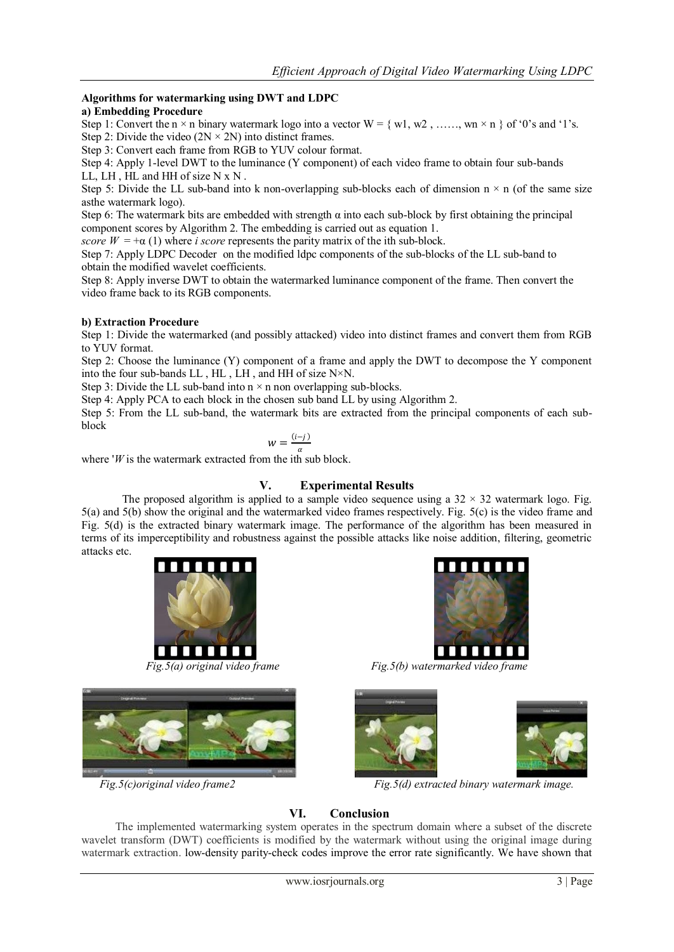### **Algorithms for watermarking using DWT and LDPC**

# **a) Embedding Procedure**

Step 1: Convert the  $n \times n$  binary watermark logo into a vector  $W = \{w1, w2, \dots, wn \times n\}$  of '0's and '1's. Step 2: Divide the video  $(2N \times 2N)$  into distinct frames.

Step 3: Convert each frame from RGB to YUV colour format.

Step 4: Apply 1-level DWT to the luminance (Y component) of each video frame to obtain four sub-bands LL, LH , HL and HH of size N x N .

Step 5: Divide the LL sub-band into k non-overlapping sub-blocks each of dimension  $n \times n$  (of the same size asthe watermark logo).

Step 6: The watermark bits are embedded with strength  $\alpha$  into each sub-block by first obtaining the principal component scores by Algorithm 2. The embedding is carried out as equation 1.

*score*  $W = +\alpha$  (1) where *i score* represents the parity matrix of the ith sub-block.

Step 7: Apply LDPC Decoder on the modified ldpc components of the sub-blocks of the LL sub-band to obtain the modified wavelet coefficients.

Step 8: Apply inverse DWT to obtain the watermarked luminance component of the frame. Then convert the video frame back to its RGB components.

### **b) Extraction Procedure**

Step 1: Divide the watermarked (and possibly attacked) video into distinct frames and convert them from RGB to YUV format.

Step 2: Choose the luminance (Y) component of a frame and apply the DWT to decompose the Y component into the four sub-bands LL , HL , LH , and HH of size N×N.

Step 3: Divide the LL sub-band into  $n \times n$  non overlapping sub-blocks.

Step 4: Apply PCA to each block in the chosen sub band LL by using Algorithm 2.

Step 5: From the LL sub-band, the watermark bits are extracted from the principal components of each subblock

$$
W=\frac{(i-j)}{n}
$$

where '*W* is the watermark extracted from the ith sub block.

# **V. Experimental Results**

The proposed algorithm is applied to a sample video sequence using a  $32 \times 32$  watermark logo. Fig. 5(a) and 5(b) show the original and the watermarked video frames respectively. Fig. 5(c) is the video frame and Fig. 5(d) is the extracted binary watermark image. The performance of the algorithm has been measured in terms of its imperceptibility and robustness against the possible attacks like noise addition, filtering, geometric attacks etc.







*Fig.5(a) original video frame Fig.5(b) watermarked video frame*



*Fig.5(c)original video frame2 Fig.5(d) extracted binary watermark image.*

# **VI. Conclusion**

I

 The implemented watermarking system operates in the spectrum domain where a subset of the discrete wavelet transform (DWT) coefficients is modified by the watermark without using the original image during watermark extraction. low-density parity-check codes improve the error rate significantly. We have shown that